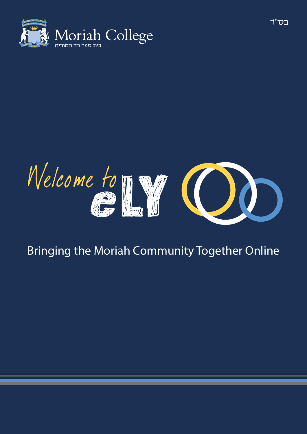



## Bringing the Moriah Community Together Online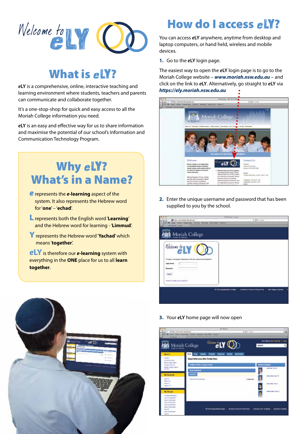

## What is  $e<sub>W</sub>$ ?

*e***LY** is a comprehensive, online, interactive teaching and learning environment where students, teachers and parents can communicate and collaborate together.

It's a one-stop-shop for quick and easy access to all the Moriah College information you need.

*e***LY** is an easy and effective way for us to share information and maximise the potential of our school's Information and Communication Technology Program.

## Why eLY? What's in a Name?

- *e* represents the *e***-learning** aspect of the system. It also represents the Hebrew word for '**one**' – '**echad**'.
- L represents both the English word '**Learning**' and the Hebrew word for learning - '**Limmud**'.
- Yrepresents the Hebrew word '**Yachad**' which means '**together**'.

*e***LY** is therefore our *e***-learning** system with everything in the **ONE** place for us to all **learn together**.

# How do  $I$  access  $eY$ ?

You can access *e***LY** anywhere, anytime from desktop and laptop computers, or hand held, wireless and mobile devices.

**1.** Go to the *e***LY** login page.

The easiest way to open the *e***LY** login page is to go to the Moriah College website – *www.moriah.nsw.edu.au* – and click on the link to *e***LY**. Alternatively, go straight to *e***LY** via *https://ely.moriah.nsw.edu.au*



**2.** Enter the unique username and password that has been supplied to you by the school.

|                                                                                                          | STYMAHN-Tayle                                       |         |
|----------------------------------------------------------------------------------------------------------|-----------------------------------------------------|---------|
| <b>Companies award the study!</b><br>(1) 12 April Street Street Auto Author: Woods I Was Next Associated |                                                     | d Trime |
| <b>SEP MODE CONTR</b>                                                                                    |                                                     |         |
|                                                                                                          |                                                     |         |
| Moriah College                                                                                           |                                                     |         |
|                                                                                                          |                                                     |         |
|                                                                                                          |                                                     |         |
|                                                                                                          |                                                     |         |
|                                                                                                          |                                                     |         |
| Nelsone to LY 0                                                                                          |                                                     |         |
|                                                                                                          |                                                     |         |
| To looph a rew sensor please loph with your paintains and password.                                      |                                                     |         |
|                                                                                                          |                                                     |         |
| Loan hame                                                                                                |                                                     |         |
| <b>Fascance</b>                                                                                          |                                                     |         |
|                                                                                                          |                                                     |         |
| boat.                                                                                                    |                                                     |         |
| The actual product in the control of the<br>Assista, Anyderson, Lowerell                                 |                                                     |         |
| -----                                                                                                    |                                                     |         |
|                                                                                                          |                                                     |         |
|                                                                                                          | 2012 Storegickson Lower L. Assemble 2 December 2014 |         |
|                                                                                                          |                                                     |         |
|                                                                                                          |                                                     |         |
|                                                                                                          |                                                     |         |



**3.** Your *e***LY** home page will now open

| (b) If + (Prima cars invisions advant<br>22 St fact that building there from the pair of them<br><b>SETTING CO.</b> |                                   | <b>R.I. Norigil</b><br>4 HV Jeer                 |                  |                                                          |
|---------------------------------------------------------------------------------------------------------------------|-----------------------------------|--------------------------------------------------|------------------|----------------------------------------------------------|
|                                                                                                                     | Moriah College                    | <b><i>CALY OD</i></b>                            |                  | Seat Alpinson the Fords Shar 1, Louis<br>saarun.         |
| My BLT                                                                                                              | <b>Rams</b>                       | <b>Not Likes from Room Bills Rufund</b>          |                  |                                                          |
| <b>Floored In</b><br>٠<br><b>Commercial</b><br><b>Bacon Man Lisan</b><br>Corporation Products<br>٠                  | Today's Denth: Bonny 119 Aug      | Good Afternoon Mrs Yvette Sher                   |                  | <b>Business Systems</b>                                  |
| <b>Weight Calvas Claim of</b><br><b>START</b><br>My Obusiants                                                       | <b>Send Provident</b>             |                                                  |                  | <b>Gold Base Train &amp;</b><br><b>Bony Sign Year 10</b> |
| $=$<br><b>New Old</b><br><b>Asturnichi</b><br><b>National Entity</b>                                                | <b>Donald Affairs at All June</b> |                                                  | <b>Committee</b> | Keys Box True V                                          |
| <b>My Greate</b><br><b><i><u>New Area and Area and Area and Area area</u></i></b>                                   |                                   |                                                  | $\frac{1}{2}$    | Ashardton, Tour 11                                       |
| <b>New S.A. Edmonton</b><br>New Ell Information<br><b>Trac CL Hornahm</b><br><b>Ther CO ellumators</b>              |                                   |                                                  |                  |                                                          |
| <b>Har St Hompton</b><br><b>NAV DE BRITISEUE</b><br><b>Barth</b>                                                    |                                   | 3119 Controllerations : Scottes (Capo Franchise) |                  | <b>Schools 1931 to News</b><br>---                       |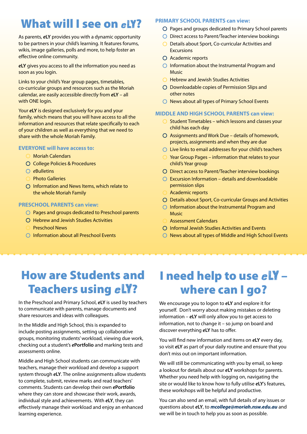## What will I see on  $e<sub>W</sub>$ ?

As parents, *e***LY** provides you with a dynamic opportunity to be partners in your child's learning. It features forums, wikis, image galleries, polls and more, to help foster an effective online community.

*e***LY** gives you access to all the information you need as soon as you login.

Links to your child's Year group pages, timetables, co-curricular groups and resources such as the Moriah calendar, are easily accessible directly from *e***LY** – all with ONE login.

Your *e***LY** is designed exclusively for you and your family, which means that you will have access to all the information and resources that relate specifically to each of your children as well as everything that we need to share with the whole Moriah Family.

#### **EVERYONE will have access to:**

- Moriah Calendars
- O College Policies & Procedures
- *e*Bulletins
- Photo Galleries
- Information and News Items, which relate to the whole Moriah Family

#### **PRESCHOOL PARENTS can view:**

- Pages and groups dedicated to Preschool parents
- O Hebrew and Jewish Studies Activities
- Preschool News
- O Information about all Preschool Events

#### **PRIMARY SCHOOL PARENTS can view:**

- $\bigcirc$  Pages and groups dedicated to Primary School parents
- O Direct access to Parent/Teacher interview bookings
- O Details about Sport, Co-curricular Activities and **Excursions**
- Academic reports
- Information about the Instrumental Program and **Music**
- **O** Hebrew and Jewish Studies Activities
- Downloadable copies of Permission Slips and other notes
- O News about all types of Primary School Events

#### **MIDDLE AND HIGH SCHOOL PARENTS can view:**

- Student Timetables which lessons and classes your child has each day
- Assignments and Work Due details of homework, projects, assignments and when they are due
- $\bigcirc$  Live links to email addresses for your child's teachers
- $\bigcirc$  Year Group Pages information that relates to your child's Year group
- Direct access to Parent/Teacher interview bookings
- $\bigcirc$  Excursion Information details and downloadable permission slips
- Academic reports
- Details about Sport, Co-curricular Groups and Activities
- Information about the Instrumental Program and Music
- Assessment Calendars
- Informal Jewish Studies Activities and Events
- $\bigcirc$  News about all types of Middle and High School Events

### How are Students and **Teachers using eLY?**

In the Preschool and Primary School, *e***LY** is used by teachers to communicate with parents, manage documents and share resources and ideas with colleagues.

In the Middle and High School, this is expanded to include posting assignments, setting up collaborative groups, monitoring students' workload, viewing due work, checking out a student's *e***Portfolio** and marking tests and assessments online.

Middle and High School students can communicate with teachers, manage their workload and develop a support system through *e***LY**. The online assignments allow students to complete, submit, review marks and read teachers' comments. Students can develop their own *e***Portfolio** where they can store and showcase their work, awards, individual style and achievements. With *e***LY**, they can effectively manage their workload and enjoy an enhanced learning experience.

## I need help to use  $e\mathbf{I}\mathbf{Y}$ where can I go?

We encourage you to logon to *e***LY** and explore it for yourself. Don't worry about making mistakes or deleting information – *e***LY** will only allow you to get access to information, not to change it – so jump on board and discover everything *e***LY** has to offer.

You will find new information and items on *e***LY** every day, so visit *e***LY** as part of your daily routine and ensure that you don't miss out on important information.

We will still be communicating with you by email, so keep a lookout for details about our *e***LY** workshops for parents. Whether you need help with logging on, navigating the site or would like to know how to fully utilise *e***LY**'s features, these workshops will be helpful and productive.

You can also send an email, with full details of any issues or questions about *e***LY**, to *mcollege@moriah.nsw.edu.au* and we will be in touch to help you as soon as possible.